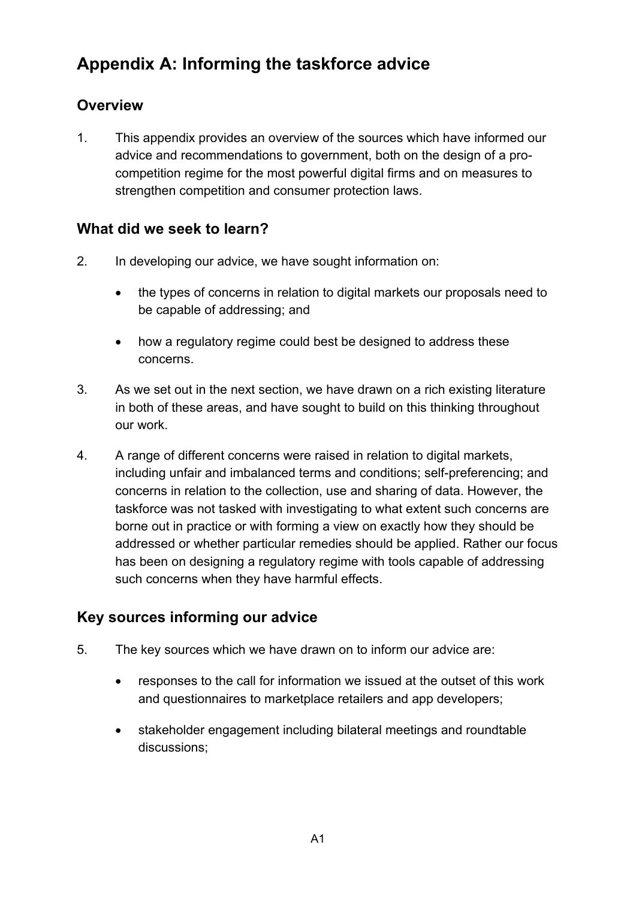# **Appendix A: Informing the taskforce advice**

## **Overview**

1. This appendix provides an overview of the sources which have informed our advice and recommendations to government, both on the design of a procompetition regime for the most powerful digital firms and on measures to strengthen competition and consumer protection laws.

## **What did we seek to learn?**

- 2. In developing our advice, we have sought information on:
	- the types of concerns in relation to digital markets our proposals need to be capable of addressing; and
	- how a regulatory regime could best be designed to address these concerns.
- 3. As we set out in the next section, we have drawn on a rich existing literature in both of these areas, and have sought to build on this thinking throughout our work.
- 4. A range of different concerns were raised in relation to digital markets, including unfair and imbalanced terms and conditions; self-preferencing; and concerns in relation to the collection, use and sharing of data. However, the taskforce was not tasked with investigating to what extent such concerns are borne out in practice or with forming a view on exactly how they should be addressed or whether particular remedies should be applied. Rather our focus has been on designing a regulatory regime with tools capable of addressing such concerns when they have harmful effects.

## **Key sources informing our advice**

- 5. The key sources which we have drawn on to inform our advice are:
	- responses to the call for information we issued at the outset of this work and questionnaires to marketplace retailers and app developers;
	- stakeholder engagement including bilateral meetings and roundtable discussions;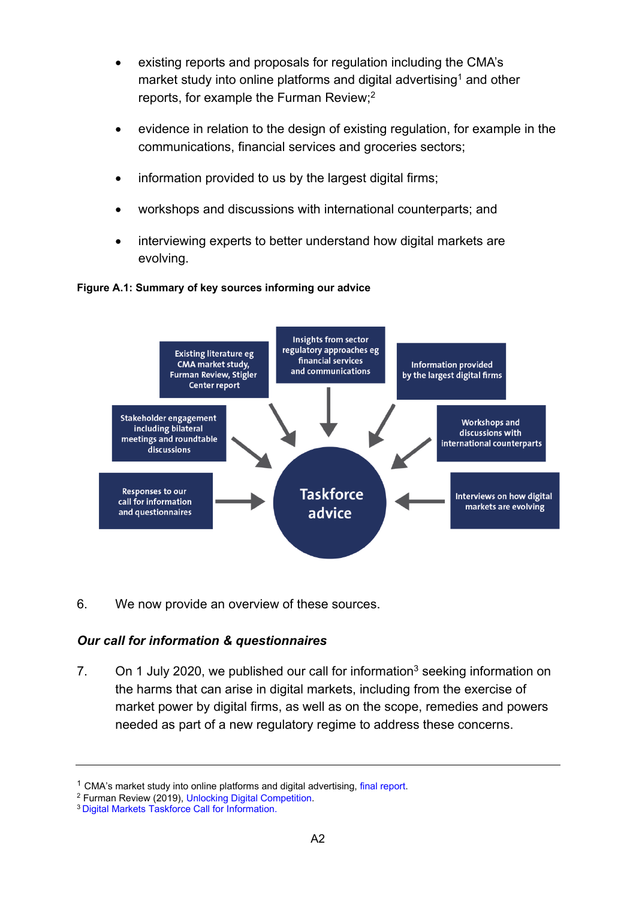- existing reports and proposals for regulation including the CMA's market study into online platforms and digital advertising<sup>1</sup> and other reports, for example the Furman Review; 2
- evidence in relation to the design of existing regulation, for example in the communications, financial services and groceries sectors;
- information provided to us by the largest digital firms;
- workshops and discussions with international counterparts; and
- interviewing experts to better understand how digital markets are evolving.



#### **Figure A.1: Summary of key sources informing our advice**

6. We now provide an overview of these sources.

### *Our call for information & questionnaires*

7. On 1 July 2020, we published our call for information<sup>3</sup> seeking information on the harms that can arise in digital markets, including from the exercise of market power by digital firms, as well as on the scope, remedies and powers needed as part of a new regulatory regime to address these concerns.

 $1$  CMA's market study into online platforms and digital advertising, [final report.](https://assets.publishing.service.gov.uk/media/5efc57ed3a6f4023d242ed56/Final_report_1_July_2020_.pdf)

<sup>2</sup> Furman Review (2019), [Unlocking Digital Competition.](https://eur02.safelinks.protection.outlook.com/?url=https%3A%2F%2Fassets.publishing.service.gov.uk%2Fgovernment%2Fuploads%2Fsystem%2Fuploads%2Fattachment_data%2Ffile%2F785547%2Funlocking_digital_competition_furman_review_web.pdf&data=04%7C01%7CSarah.Weaver%40cma.gov.uk%7C2cd75de716f949d8caac08d8978218ff%7C1948f2d40bc24c5e8c34caac9d736834%7C1%7C0%7C637425932310123974%7CUnknown%7CTWFpbGZsb3d8eyJWIjoiMC4wLjAwMDAiLCJQIjoiV2luMzIiLCJBTiI6Ik1haWwiLCJXVCI6Mn0%3D%7C1000&sdata=d3%2B7JhJwvdsX4OHVOZrMqY%2BdWKzmi4a8rAuHX2LpLBc%3D&reserved=0)

<sup>3</sup> Digital [Markets Taskforce Call for Information.](https://assets.publishing.service.gov.uk/media/5efc5e433a6f4023c77a135c/Call_for_information_July2020.pdf)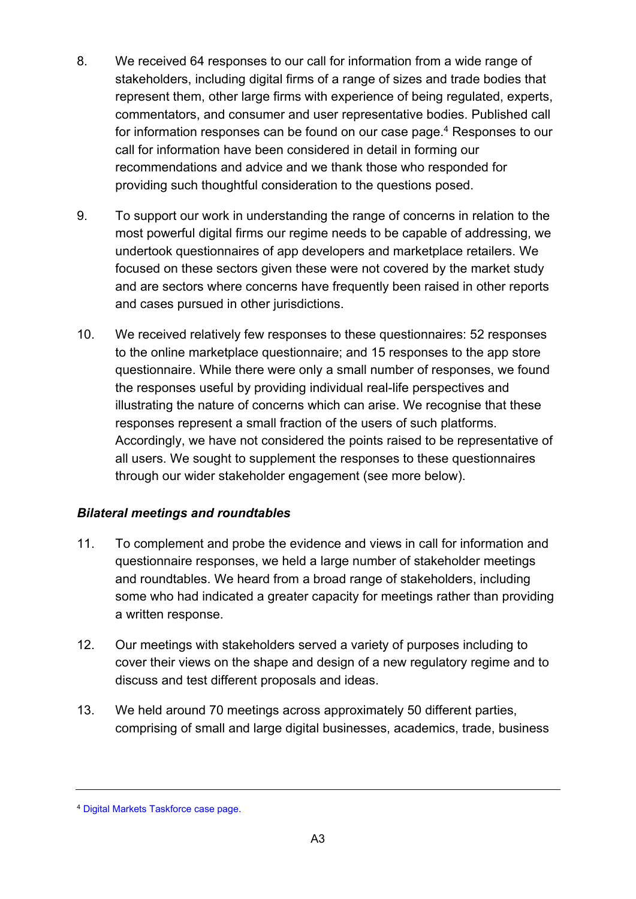- 8. We received 64 responses to our call for information from a wide range of stakeholders, including digital firms of a range of sizes and trade bodies that represent them, other large firms with experience of being regulated, experts, commentators, and consumer and user representative bodies. Published call for information responses can be found on our case page. <sup>4</sup> Responses to our call for information have been considered in detail in forming our recommendations and advice and we thank those who responded for providing such thoughtful consideration to the questions posed.
- 9. To support our work in understanding the range of concerns in relation to the most powerful digital firms our regime needs to be capable of addressing, we undertook questionnaires of app developers and marketplace retailers. We focused on these sectors given these were not covered by the market study and are sectors where concerns have frequently been raised in other reports and cases pursued in other jurisdictions.
- 10. We received relatively few responses to these questionnaires: 52 responses to the online marketplace questionnaire; and 15 responses to the app store questionnaire. While there were only a small number of responses, we found the responses useful by providing individual real-life perspectives and illustrating the nature of concerns which can arise. We recognise that these responses represent a small fraction of the users of such platforms. Accordingly, we have not considered the points raised to be representative of all users. We sought to supplement the responses to these questionnaires through our wider stakeholder engagement (see more below).

## *Bilateral meetings and roundtables*

- 11. To complement and probe the evidence and views in call for information and questionnaire responses, we held a large number of stakeholder meetings and roundtables. We heard from a broad range of stakeholders, including some who had indicated a greater capacity for meetings rather than providing a written response.
- 12. Our meetings with stakeholders served a variety of purposes including to cover their views on the shape and design of a new regulatory regime and to discuss and test different proposals and ideas.
- 13. We held around 70 meetings across approximately 50 different parties, comprising of small and large digital businesses, academics, trade, business

<sup>4</sup> [Digital Markets Taskforce case page.](https://www.gov.uk/cma-cases/digital-markets-taskforce)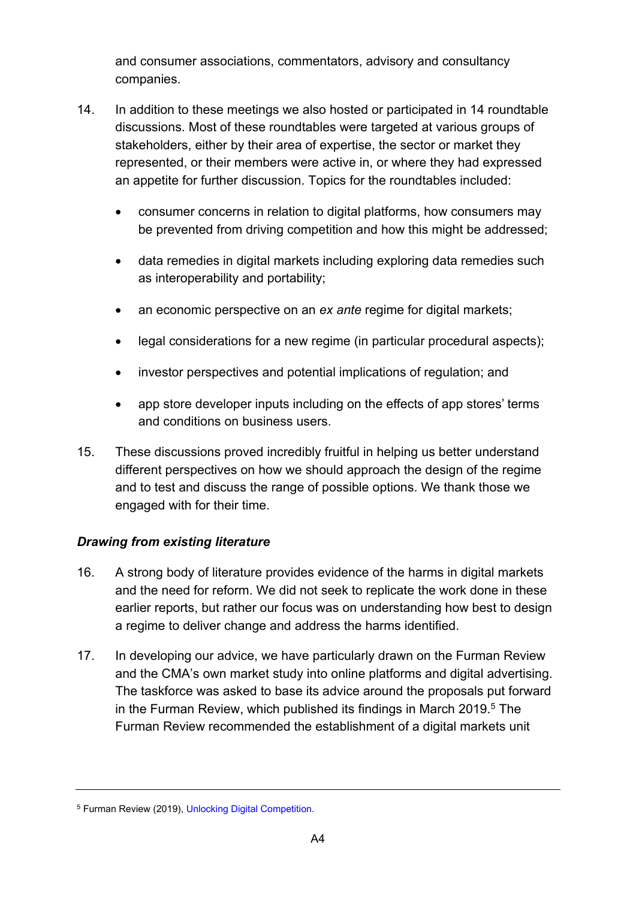and consumer associations, commentators, advisory and consultancy companies.

- 14. In addition to these meetings we also hosted or participated in 14 roundtable discussions. Most of these roundtables were targeted at various groups of stakeholders, either by their area of expertise, the sector or market they represented, or their members were active in, or where they had expressed an appetite for further discussion. Topics for the roundtables included:
	- consumer concerns in relation to digital platforms, how consumers may be prevented from driving competition and how this might be addressed;
	- data remedies in digital markets including exploring data remedies such as interoperability and portability;
	- an economic perspective on an *ex ante* regime for digital markets;
	- legal considerations for a new regime (in particular procedural aspects);
	- investor perspectives and potential implications of regulation; and
	- app store developer inputs including on the effects of app stores' terms and conditions on business users.
- 15. These discussions proved incredibly fruitful in helping us better understand different perspectives on how we should approach the design of the regime and to test and discuss the range of possible options. We thank those we engaged with for their time.

## *Drawing from existing literature*

- 16. A strong body of literature provides evidence of the harms in digital markets and the need for reform. We did not seek to replicate the work done in these earlier reports, but rather our focus was on understanding how best to design a regime to deliver change and address the harms identified.
- 17. In developing our advice, we have particularly drawn on the Furman Review and the CMA's own market study into online platforms and digital advertising. The taskforce was asked to base its advice around the proposals put forward in the Furman Review, which published its findings in March 2019.<sup>5</sup> The Furman Review recommended the establishment of a digital markets unit

<sup>5</sup> Furman Review (2019), [Unlocking Digital Competition.](https://eur02.safelinks.protection.outlook.com/?url=https%3A%2F%2Fassets.publishing.service.gov.uk%2Fgovernment%2Fuploads%2Fsystem%2Fuploads%2Fattachment_data%2Ffile%2F785547%2Funlocking_digital_competition_furman_review_web.pdf&data=04%7C01%7CSarah.Weaver%40cma.gov.uk%7C2cd75de716f949d8caac08d8978218ff%7C1948f2d40bc24c5e8c34caac9d736834%7C1%7C0%7C637425932310123974%7CUnknown%7CTWFpbGZsb3d8eyJWIjoiMC4wLjAwMDAiLCJQIjoiV2luMzIiLCJBTiI6Ik1haWwiLCJXVCI6Mn0%3D%7C1000&sdata=d3%2B7JhJwvdsX4OHVOZrMqY%2BdWKzmi4a8rAuHX2LpLBc%3D&reserved=0)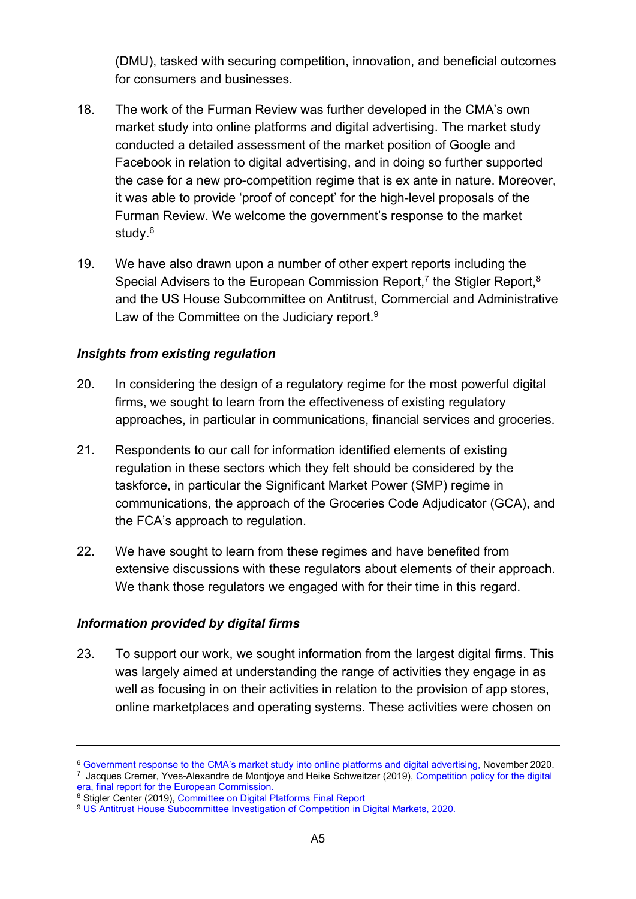(DMU), tasked with securing competition, innovation, and beneficial outcomes for consumers and businesses.

- 18. The work of the Furman Review was further developed in the CMA's own market study into online platforms and digital advertising. The market study conducted a detailed assessment of the market position of Google and Facebook in relation to digital advertising, and in doing so further supported the case for a new pro-competition regime that is ex ante in nature. Moreover, it was able to provide 'proof of concept' for the high-level proposals of the Furman Review. We welcome the government's response to the market study.<sup>6</sup>
- 19. We have also drawn upon a number of other expert reports including the Special Advisers to the European Commission Report,<sup>7</sup> the Stigler Report,<sup>8</sup> and the US House Subcommittee on Antitrust, Commercial and Administrative Law of the Committee on the Judiciary report. 9

### *Insights from existing regulation*

- 20. In considering the design of a regulatory regime for the most powerful digital firms, we sought to learn from the effectiveness of existing regulatory approaches, in particular in communications, financial services and groceries.
- 21. Respondents to our call for information identified elements of existing regulation in these sectors which they felt should be considered by the taskforce, in particular the Significant Market Power (SMP) regime in communications, the approach of the Groceries Code Adjudicator (GCA), and the FCA's approach to regulation.
- 22. We have sought to learn from these regimes and have benefited from extensive discussions with these regulators about elements of their approach. We thank those regulators we engaged with for their time in this regard.

### *Information provided by digital firms*

23. To support our work, we sought information from the largest digital firms. This was largely aimed at understanding the range of activities they engage in as well as focusing in on their activities in relation to the provision of app stores, online marketplaces and operating systems. These activities were chosen on

<sup>6</sup> [Government response to the CMA's market study into online platforms and digital advertising,](https://assets.publishing.service.gov.uk/government/uploads/system/uploads/attachment_data/file/939008/government-response-to-cma-study.pdf) November 2020. 7 Jacques Cremer, Yves-Alexandre de Montjoye and Heike Schweitzer (2019), [Competition policy for the digital](https://ec.europa.eu/competition/publications/reports/kd0419345enn.pdf)  [era, final report for the European Commission.](https://ec.europa.eu/competition/publications/reports/kd0419345enn.pdf)

<sup>8</sup> Stigler Center (2019), [Committee on Digital Platforms Final Report](https://www.publicknowledge.org/wp-content/uploads/2019/09/Stigler-Committee-on-Digital-Platforms-Final-Report.pdf)

<sup>9</sup> [US Antitrust House Subcommittee Investigation of Competition in Digital Markets, 2020.](https://judiciary.house.gov/uploadedfiles/competition_in_digital_markets.pdf)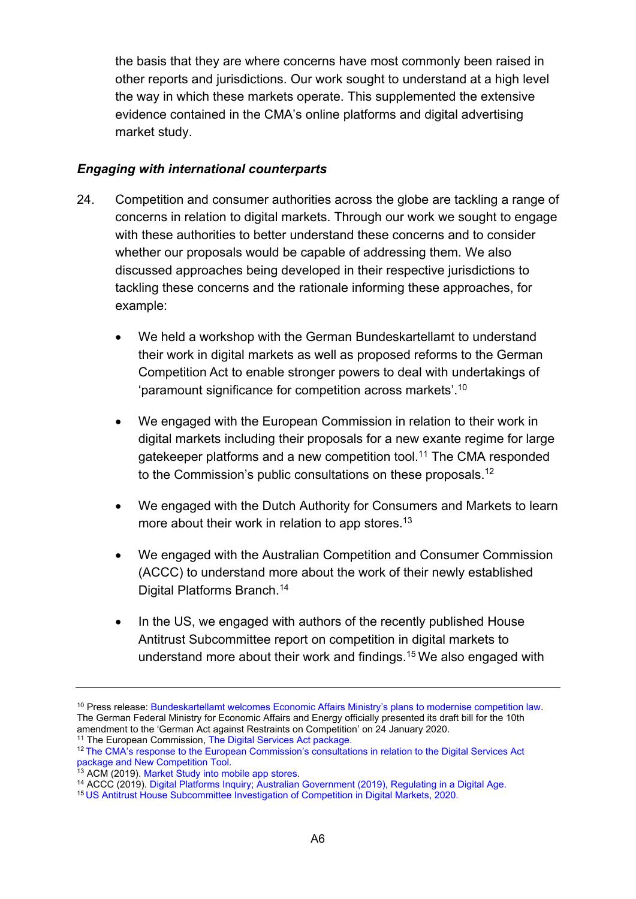the basis that they are where concerns have most commonly been raised in other reports and jurisdictions. Our work sought to understand at a high level the way in which these markets operate. This supplemented the extensive evidence contained in the CMA's online platforms and digital advertising market study.

### *Engaging with international counterparts*

- 24. Competition and consumer authorities across the globe are tackling a range of concerns in relation to digital markets. Through our work we sought to engage with these authorities to better understand these concerns and to consider whether our proposals would be capable of addressing them. We also discussed approaches being developed in their respective jurisdictions to tackling these concerns and the rationale informing these approaches, for example:
	- We held a workshop with the German Bundeskartellamt to understand their work in digital markets as well as proposed reforms to the German Competition Act to enable stronger powers to deal with undertakings of 'paramount significance for competition across markets'.<sup>10</sup>
	- We engaged with the European Commission in relation to their work in digital markets including their proposals for a new exante regime for large gatekeeper platforms and a new competition tool.<sup>11</sup> The CMA responded to the Commission's public consultations on these proposals.<sup>12</sup>
	- We engaged with the Dutch Authority for Consumers and Markets to learn more about their work in relation to app stores.<sup>13</sup>
	- We engaged with the Australian Competition and Consumer Commission (ACCC) to understand more about the work of their newly established Digital Platforms Branch.<sup>14</sup>
	- In the US, we engaged with authors of the recently published House Antitrust Subcommittee report on competition in digital markets to understand more about their work and findings.<sup>15</sup> We also engaged with

<sup>&</sup>lt;sup>10</sup> Press release: [Bundeskartellamt welcomes Economic Affairs Ministry's plans to modernise competition law.](https://www.bundeskartellamt.de/SharedDocs/Meldung/EN/Pressemitteilungen/2020/25_02_2020_Stellungnahme_10_GWB_Novelle.html) The German Federal Ministry for Economic Affairs and Energy officially presented it[s draft bill for the 10th](https://www.bmwi.de/Redaktion/DE/Downloads/G/gwb-digitalisierungsgesetz-referentenentwurf.pdf?__blob=publicationFile&v=10)  [amendment to the 'German Act against Restraints on Competition'](https://www.bmwi.de/Redaktion/DE/Downloads/G/gwb-digitalisierungsgesetz-referentenentwurf.pdf?__blob=publicationFile&v=10) on 24 January 2020.

<sup>&</sup>lt;sup>11</sup> The European Commission, [The Digital Services Act package.](https://ec.europa.eu/digital-single-market/en/digital-services-act-package#:~:text=The%20Digital%20Services%20Act%20package%20As%20part%20of,innovation%20and%20competitiveness%20of%20the%20European%20online%20environment.)

<sup>12</sup> [The CMA's response to the European Commission's consultations in relation to the Digital Services Act](https://assets.publishing.service.gov.uk/government/uploads/system/uploads/attachment_data/file/917455/CMA-response_to_DSA_and_NCT_consultations.pdf)  [package and New Competition Tool.](https://assets.publishing.service.gov.uk/government/uploads/system/uploads/attachment_data/file/917455/CMA-response_to_DSA_and_NCT_consultations.pdf)

<sup>&</sup>lt;sup>13</sup> [ACM](https://www.acm.nl/sites/default/files/documents/market-study-into-mobile-app-stores.pdf) (2019). Market Study [into mobile app stores.](https://www.acm.nl/sites/default/files/documents/market-study-into-mobile-app-stores.pdf)

<sup>14</sup> ACCC (2019). [Digital Platforms Inquiry;](http://accc.gov.au/system/files/Digital%20platforms%20inquiry%20-%20final%20report.pdf) Australian Government (2019), [Regulating in a Digital Age.](https://treasury.gov.au/sites/default/files/2019-12/Government-Response-p2019-41708.pdf)

<sup>15</sup> [US Antitrust House Subcommittee Investigation of Competition in Digital Markets, 2020.](https://judiciary.house.gov/uploadedfiles/competition_in_digital_markets.pdf)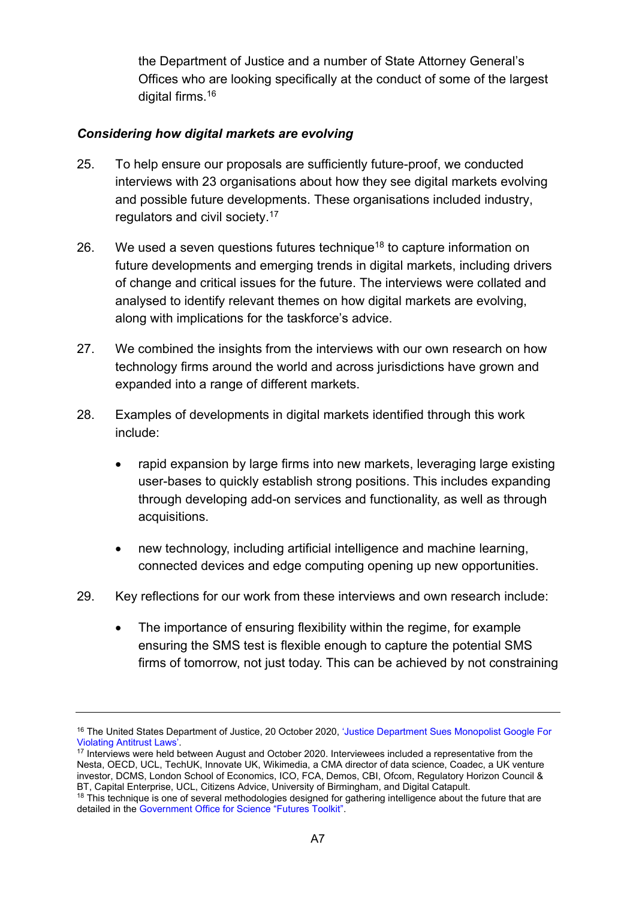the Department of Justice and a number of State Attorney General's Offices who are looking specifically at the conduct of some of the largest digital firms.<sup>16</sup>

## *Considering how digital markets are evolving*

- 25. To help ensure our proposals are sufficiently future-proof, we conducted interviews with 23 organisations about how they see digital markets evolving and possible future developments. These organisations included industry, regulators and civil society.<sup>17</sup>
- 26. We used a seven questions futures technique<sup>18</sup> to capture information on future developments and emerging trends in digital markets, including drivers of change and critical issues for the future. The interviews were collated and analysed to identify relevant themes on how digital markets are evolving, along with implications for the taskforce's advice.
- 27. We combined the insights from the interviews with our own research on how technology firms around the world and across jurisdictions have grown and expanded into a range of different markets.
- 28. Examples of developments in digital markets identified through this work include:
	- rapid expansion by large firms into new markets, leveraging large existing user-bases to quickly establish strong positions. This includes expanding through developing add-on services and functionality, as well as through acquisitions.
	- new technology, including artificial intelligence and machine learning, connected devices and edge computing opening up new opportunities.
- 29. Key reflections for our work from these interviews and own research include:
	- The importance of ensuring flexibility within the regime, for example ensuring the SMS test is flexible enough to capture the potential SMS firms of tomorrow, not just today. This can be achieved by not constraining

<sup>&</sup>lt;sup>16</sup> The United States Department of Justice, 20 October 2020, 'Justice Department Sues Monopolist Google For [Violating Antitrust Laws'.](https://www.justice.gov/opa/pr/justice-department-sues-monopolist-google-violating-antitrust-laws)

<sup>&</sup>lt;sup>17</sup> Interviews were held between August and October 2020. Interviewees included a representative from the Nesta, OECD, UCL, TechUK, Innovate UK, Wikimedia, a CMA director of data science, Coadec, a UK venture investor, DCMS, London School of Economics, ICO, FCA, Demos, CBI, Ofcom, Regulatory Horizon Council & BT, Capital Enterprise, UCL, Citizens Advice, University of Birmingham, and Digital Catapult.

<sup>&</sup>lt;sup>18</sup> This technique is one of several methodologies designed for gathering intelligence about the future that are detailed in the [Government Office for Science "Futures Toolkit".](https://www.gov.uk/government/publications/futures-toolkit-for-policy-makers-and-analysts)